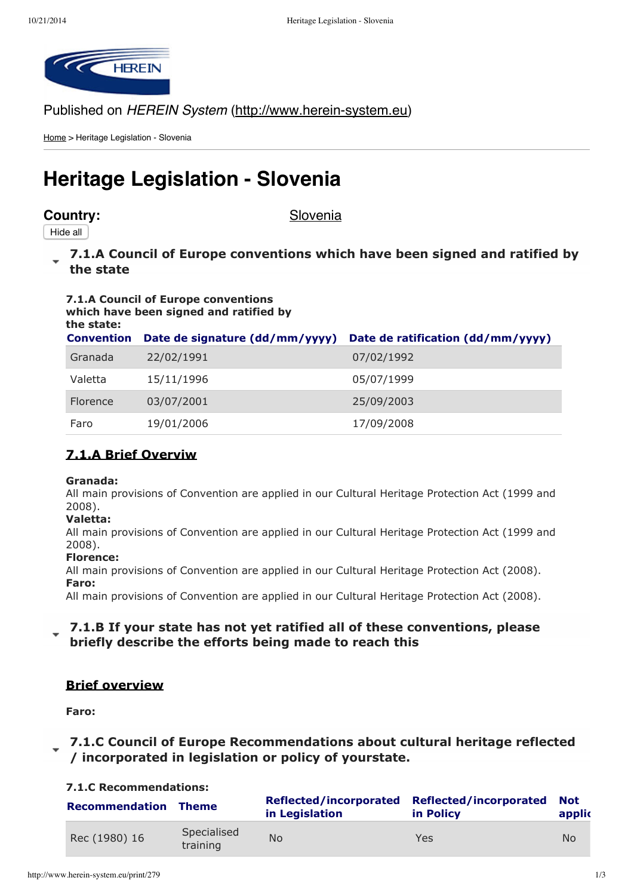

Published on HEREIN System (http://www.herein-system.eu)

Home > Heritage Legislation - Slovenia

# **Heritage Legislation - Slovenia**

# **Country:** Slovenia

Hide all

**7.1.A Council of Europe [conventions](http://www.herein-system.eu/print/279#) which have been signed and ratified by the state**

#### **7.1.A Council of Europe conventions which have been signed and ratified by the state:**

| .<br><b>Convention</b> | Date de signature (dd/mm/yyyy) | Date de ratification (dd/mm/yyyy) |
|------------------------|--------------------------------|-----------------------------------|
| Granada                | 22/02/1991                     | 07/02/1992                        |
| Valetta                | 15/11/1996                     | 05/07/1999                        |
| Florence               | 03/07/2001                     | 25/09/2003                        |
| Faro                   | 19/01/2006                     | 17/09/2008                        |

# **7.1.A Brief Overviw**

#### **Granada:**

All main provisions of Convention are applied in our Cultural Heritage Protection Act (1999 and 2008).

#### **Valetta:**

All main provisions of Convention are applied in our Cultural Heritage Protection Act (1999 and 2008).

#### **Florence:**

All main provisions of Convention are applied in our Cultural Heritage Protection Act (2008).

#### **Faro:**

All main provisions of Convention are applied in our Cultural Heritage Protection Act (2008).

# **7.1.B If your state has not yet ratified all of these [conventions,](http://www.herein-system.eu/print/279#) please briefly describe the efforts being made to reach this**

# **Brief overview**

**Faro:**

# **7.1.C Council of Europe [Recommendations](http://www.herein-system.eu/print/279#) about cultural heritage reflected / incorporated in legislation or policy of yourstate.**

#### **7.1.C Recommendations:**

| <b>Recommendation Theme</b> |                         | in Legislation | Reflected/incorporated Reflected/incorporated<br>in Policy | <b>Not</b><br>applic |
|-----------------------------|-------------------------|----------------|------------------------------------------------------------|----------------------|
| Rec (1980) 16               | Specialised<br>training | <b>No</b>      | Yes                                                        | N <sub>o</sub>       |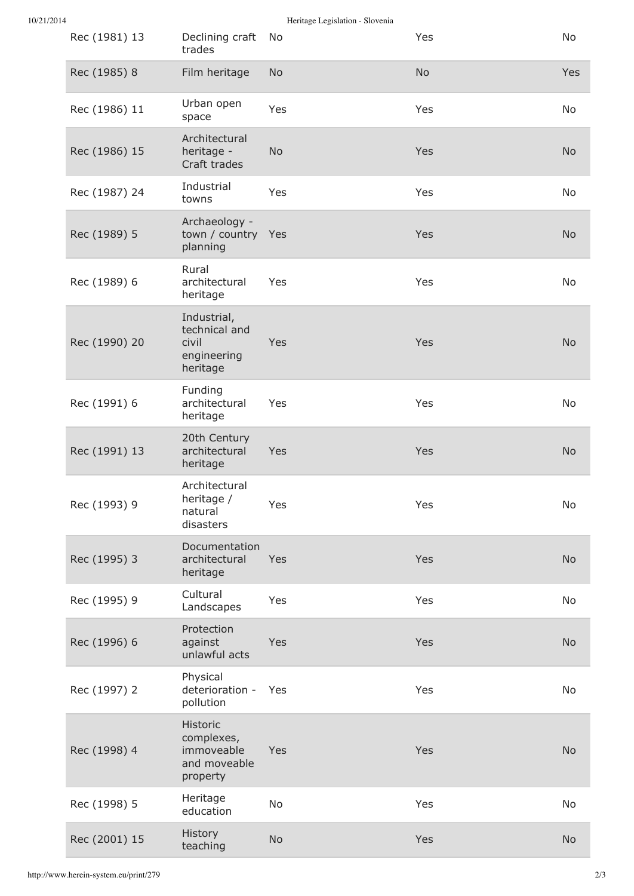| 10/21/2014 |
|------------|

Heritage Legislation - Slovenia

| Rec (1981) 13 | Declining craft<br>trades                                        | No        | Yes       | No        |
|---------------|------------------------------------------------------------------|-----------|-----------|-----------|
| Rec (1985) 8  | Film heritage                                                    | <b>No</b> | <b>No</b> | Yes       |
| Rec (1986) 11 | Urban open<br>space                                              | Yes       | Yes       | No        |
| Rec (1986) 15 | Architectural<br>heritage -<br>Craft trades                      | <b>No</b> | Yes       | <b>No</b> |
| Rec (1987) 24 | Industrial<br>towns                                              | Yes       | Yes       | No        |
| Rec (1989) 5  | Archaeology -<br>town / country Yes<br>planning                  |           | Yes       | <b>No</b> |
| Rec (1989) 6  | Rural<br>architectural<br>heritage                               | Yes       | Yes       | No        |
| Rec (1990) 20 | Industrial,<br>technical and<br>civil<br>engineering<br>heritage | Yes       | Yes       | <b>No</b> |
| Rec (1991) 6  | Funding<br>architectural<br>heritage                             | Yes       | Yes       | No        |
| Rec (1991) 13 | 20th Century<br>architectural<br>heritage                        | Yes       | Yes       | <b>No</b> |
| Rec (1993) 9  | Architectural<br>heritage /<br>natural<br>disasters              | Yes       | Yes       | No        |
| Rec (1995) 3  | Documentation<br>architectural<br>heritage                       | Yes       | Yes       | <b>No</b> |
| Rec (1995) 9  | Cultural<br>Landscapes                                           | Yes       | Yes       | No        |
| Rec (1996) 6  | Protection<br>against<br>unlawful acts                           | Yes       | Yes       | <b>No</b> |
| Rec (1997) 2  | Physical<br>deterioration -<br>pollution                         | Yes       | Yes       | No        |
| Rec (1998) 4  | Historic<br>complexes,<br>immoveable<br>and moveable<br>property | Yes       | Yes       | <b>No</b> |
| Rec (1998) 5  | Heritage<br>education                                            | No        | Yes       | No        |
| Rec (2001) 15 | History<br>teaching                                              | <b>No</b> | Yes       | <b>No</b> |